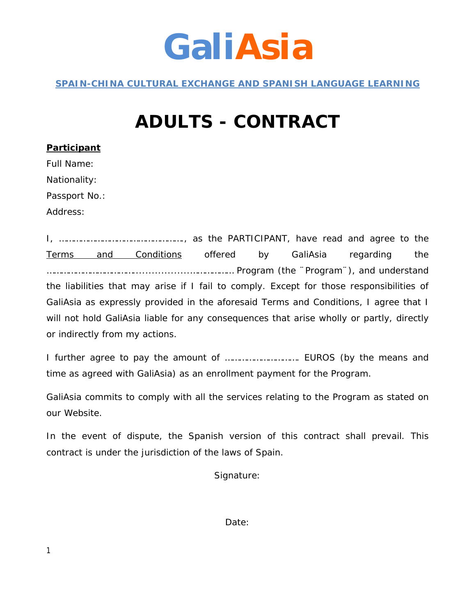## **GaliAsia**

*SPAIN-CHINA CULTURAL EXCHANGE AND SPANISH LANGUAGE LEARNING*

### **ADULTS - CONTRACT**

| <u>Participant</u> |
|--------------------|
| <b>Full Name:</b>  |
| Nationality:       |
| Passport No.:      |
| Address:           |

I, ……………………………………………., as the PARTICIPANT, have read and agree to the Terms and Conditions offered by GaliAsia regarding the ………………………………..................……………… Program (the ¨Program¨), and understand the liabilities that may arise if I fail to comply. Except for those responsibilities of GaliAsia as expressly provided in the aforesaid Terms and Conditions, I agree that I will not hold GaliAsia liable for any consequences that arise wholly or partly, directly or indirectly from my actions.

I further agree to pay the amount of …………………………. EUROS (by the means and time as agreed with GaliAsia) as an enrollment payment for the Program.

GaliAsia commits to comply with all the services relating to the Program as stated on our Website.

In the event of dispute, the Spanish version of this contract shall prevail. This contract is under the jurisdiction of the laws of Spain.

Signature:

Date: